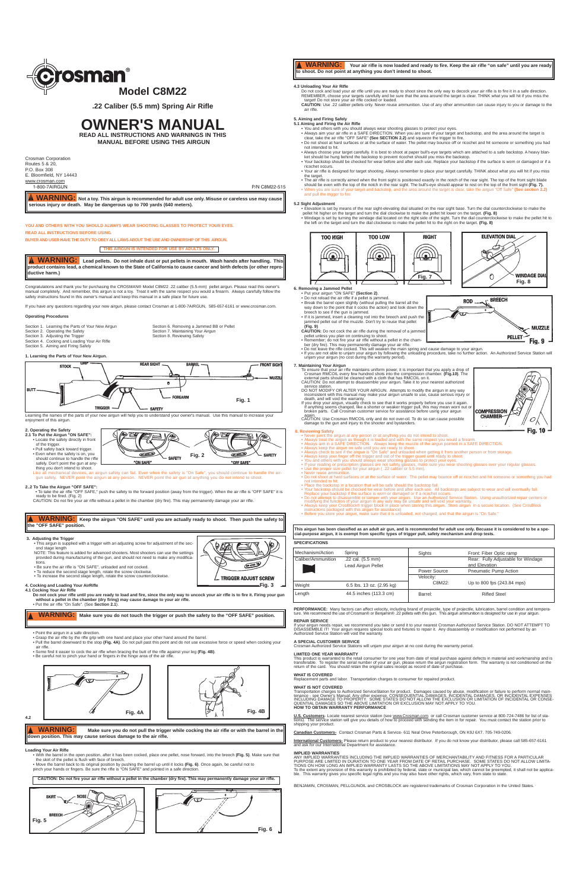Congratulations and thank you for purchasing the CROSMAN® Model C8M22 .22 caliber (5.5-mm) pellet airgun. Please read this owner's<br>manual completely. And remember, this airgun is not a toy. Treat it with the same respect y manual complete this airgun is not a toy. Treat it with the same respect you would a firearm. Always carefully follow the member, this airgun is not a toy. Treat it with the same respect you would a firearm. Always careful safety instructions found in this owner's manual and keep this manual in a safe place for future use.

Section 1. Learning the Parts of Your New Airgun Section 6. Removing a Jammed BB or Pellet<br>Section 2. Operating the Safety<br>Section 7. Maintaining Your Airgun Section 2. Operating the Safety<br>
Section 7. Maintaining Your Airgun<br>
Section 3. Adjusting the Trigger<br>
Section 8. Reviewing Safety<br>
Section 8. Reviewing Safety Section 4. Cocking and Loading Your Air Rifle

Section 8. Reviewing Safety

Learning the names of the parts of your new airgun will help you to understand your owner's manual. Use this manual to increase your end the sense of this airgun.

If you have any questions regarding your new airgun, please contact Crosman at 1-800-7AIRGUN, 585-657-6161 or www.crosman.com.

# **Operating Procedures**

(DE T **2.1 To Put the Airgun "ON SAFE":**<br>
• Locate the safety directly in front of the trigger. • Pull safety back toward trigger. • Even when the safety is on, you should continue to handle the rifle

(29 **I** ∕®  $\sigma = 2$  $\epsilon$ - SAFETY **Fig. 2**  $-$  SAFETY snould commute to contain the gun at any-"ON SAFE "OFF SAFE"

thing you don't intend to shoot. Like all mechanical devices, an airgun safety can fail. Even when the safety is "On Safe", you should continue to handle the air-<br>- gun safely. NEVER point the airgun at any person. NEVER point the air gun at anything you

**2..2 To Take the Airgun "OFF SAFE":** • To take the air rifle "OFF SAFE," push the safety to the forward position (away from the trigger). When the air rifle is "OFF SAFE" it is ready to be fired. (Fig. 2) CAUTION: Do not fire your air rifle without a pellet in the chamber (dry fire). This may permanently damage your air rifle

**1. Learning the Parts of Your New Airgun.**

Section 5. Aiming and Firing Safely

# **2. Operating the Safety**

- With the barrel in the open position, after it has been cocked, place one pellet, nose forward, into the breech **(Fig. 5)**. Make sure that
- the skirt of the pellet is flush with face of breech.<br>● Move the barrel back to its original position by pushing the barrel up until it locks **(Fig. 6)**. Once again, be careful not to<br>pinch your hands or fingers. Be sure
- tions. Be sure the air rifle is "ON SAFE", unloaded and not cocked.
- 
- To reduce the second stage length, rotate the screw clockwise. • To increase the second stage length, rotate the screw counterclockwise.

- 
- **4. Cocking and Loading Your AirRifle 4.1 Cocking Your Air Rifle Do not cock your rifle until you are ready to load and fire, since the only way to uncock your air rifle is to fire it. Firing your gun without a pellet in the chamber (dry firing) may cause damage to your air rifle.** • Put the air rifle "On Safe". (See **Section 2.1**).

- Point the airgun in a safe direction.
- ∙ Grasp the air rifle by the rifle grip with one hand and place your other hand around the barrel.<br>• Pull the barrel downward to the stop **(Fig. 4A)**. Do not pull past this point and do not use excessive force or speed wh
- air rifle. • Some find it easier to cock the air rifle when bracing the butt of the rifle against your leg **(Fig. 4B)**.

ANY IMPLIED WARRANTIES INCLUDING THE IMPLIED WARRANTIES OF MERCHANTABILITY AND FITNESS FOR A PARTICULAR PURPOSE ARE LIMITED IN DURATION TO ONE YEAR FROM DATE OF RETAIL PURCHASE. SOME STATES DO NOT ALLOW LIMITA-<br>TIONS ON HOW LONG AN IMPLIED WARRANTY LASTS SO THE ABOVE LIMITATIONS MAY NOT APPLY TO YOU. To the extent any provision of this warranty is prohibited by federal, state or municipal law, which cannot be preempted, it shall not be applica-<br>ble. This warranty gives you specific legal rights and you may also have o

• Be careful not to pinch your hand or fingers in the hinge area of the air rifle.

**4.2**

# **Loading Your Air Rifle**



**YOU AND OTHERS WITH YOU SHOULD ALWAYS WEAR SHOOTING GLASSES TO PROTECT YOUR EYES. READ ALL INSTRUCTIONS BEFORE USING.**

**BUYER AND USER HAVE THE DUTY TO OBEY ALL LAWS ABOUT THE USE AND OWNERSHIP OF THIS AIRGUN.**

- 5**. Aiming and Firing Safely**<br>5**.1 Aiming and Firing the Air Rifle**<br>• You and others with you should always wear shooting glasses to protect your eyes.
- Always aim your air rifle in a SAFE DIRECTION. When you are sure of your target and backstop, and the area around the target is clear, take the air rifle "OFF SAFE" **(See SECTION 2.2)** and squeeze the trigger to fire.
- Do not shoot at hard surfaces or at the surface of water. The pellet may bounce off or ricochet and hit someone or something you had not intended to hit.<br>• Always choose you
- wour target carefully. It is best to shoot at paper bull's-eye targets which are attached to a safe backstop. A heavy blanket should be hung behind the backstop to prevent ricochet should you miss the backstop. • Your backstop should be checked for wear before and after each use. Replace your backstop if the surface is worn or damaged or if a
- ricochet occurs. • Your air rifle is designed for target shooting. Always remember to place your target carefully. THINK about what you will hit if you miss
- the target.
- The air rifle is correctly aimed when the front sight is positioned exactly in the notch of the rear sight. The top of the front sight blade<br>should be even with the top of the notch in the rear sight. The bull's-eye should and pull the trigger to fire.

# **A SPECIAL CUSTOMER SERVICE**

Lons will unjam your airgun at no cost during the warranty period.



**PELLET** 

**MUZZLE** 



**BREECH** 

**ROD** 

### **LIMITED ONE YEAR WARRANTY**

This product is warranted to the retail consumer for one year from date of retail purchase against defects in material and workmanship and is<br>transferable. To register the serial number of your air gun, please return the

- Elevation is set by means of the rear sight-elevating dial situated on the rear sight base. Turn the dial counterclockwise to make the<br>pellet hit higher on the target and turn the dial clockwise to make the pellet hit l
- the left on the target and turn the dial clockwise to make the pellet hit to the right on the target. **(Fig. 8)**

## **WHAT IS COVERED**

<sub>-</sub><br>and labor. Transportation charges to consumer for repaired product.

WHAT IS NOT COVERED<br>Transportation charges to Authorized ServiceStation for product. Damages caused by abuse, modification or failure to perform normal main-<br>Transportation charges to Authorized Property CONSEQUENTIAL DAMA

U.S. Customers- Locate nearest service station (see www.Crosman.com or call Crosman customer service at 800-724-7486 for list of sta-<br>tions). The service station will give you details of how to proceed with sending the ite shipping your product.

again. CAUTION: Use Crosman RMCOIL only and do not over-oil. To do so can cause possible damage to the gun and injury to the shooter and bystanders.

**Canadian Customers-** Contact Crosman Parts & Service- 611 Neal Drive Peterborough, ON K9J 6X7. 705-749-0206.

**International Customers-** Please return product to your nearest distributor. If you do not know your distributor, please call 585-657-6161<br>and ask for our International Department for assistance.

### **IMPLIED WARRANTIES**

- 
- 
- 
- 
- Never point the airgun at any person or at anything you do not intend to shoot.<br>• Always treat the airgun as though it is loaded and with the same respect you would a firearm.<br>• Always aim in a SAFE DIRECTION. Always kee
- If your reading or prescription glasses are not safety glasses, make sure you wear shooting glasses over your regular glasses. Use the proper size pellet for your airgun ( .22 caliber or 5.5 mm).
- Never reuse ammunition. Do not shoot at hard surfaces or at the surface of water. The pellet may bounce off or ricochet and hit someone or something you had not intended to hit.
- 
- 
- Place the backstop in a location that will be safe should the backstop fail.<br>• Your backstop should be checked for wear before and after each use. All backstops are subject to wear and will eventually fail.<br>• Replace you
- 
- instructions packaged with this airgun for assistance) Before you store your airgun, make sure that it is unloaded, not charged, and that the airgun is "On Safe."

This airgun has been classified as an adult air gun, and is recommended for adult use only. Becuase it is considered to be a spe-<br>cial-purpose airgun, it is exempt from specific types of trigger pull, safety mechanism and

 $\underline{\textbf{WARNING:}}$  Not a toy. This airgun is recommended for adult use only. Misuse or careless use may cause **serious injury or death. May be dangerous up to 700 yards (640 meters).** 

Crosman Corporation Routes 5 & 20, P.O. Box 308 E. Bloomfield, NY 14443 WWW.crosman.com

BENJAMIN, CROSMAN, PELLGUNOIL and CROSBLOCK are registered trademarks of Crosman Corporation in the United States.

### **4.3 Unloading Your Air Rifle**

Do not cock and load your air rifle until you are ready to shoot since the only way to decock your air rifle is to fire it in a safe direction.<br>REMEMBER, choose your targets carefully and be sure that the area around the t

**WARNING: Make sure you do not pull the trigger while cocking the air rifle or with the barrel in the down position. This may cause serious damage to the air rifle.**<br>down position. This may cause serious damage to the air rifle.

**ELEVATION DIAL TOO HIGH** TOO LOW **RIGHT**  $\bigotimes$  $\textcircled{\tiny{A}}$ <u>'(Q)</u> <u>((e) )</u> **WINDAGE DIAI** 0 **Fig. 7 Fig. 8**

# **6. Removing a Jammed Pellet**<br>• Put your airgun "ON SAFE" **(Section 2)**.<br>• Do not reload the air rifle if a pellet is jammed.

**CAUTION:** Use .22 caliber pellets only. Never reuse ammunition. Use of any other ammunition can cause injury to you or damage to the air rifle.

**WARNING:** Lead pellets. Do not inhale dust or put pellets in mouth. Wash hands after handling. This **product contains lead, a chemical known to the State of California to cause cancer and birth defects (or other reproductive harm.)**

**3. Adjusting the Trigger** This airgun is supplied with a trigger with an adjusting screw for adjustment of the second stage length<br>NOTE: This feature  $\Pi$ <br>ure is added for advanced shooters. Most shooters can use the settings provided during manufacturing of the gun, and should not need to make **WARNING: Keep the airgun "ON SAFE" until you are actually ready to shoot. Then push the safety to the "OFF SAFE" position.**

## **5.2 Sight Adjustment**

- 
- 
- Break the barrel open slightly (without pulling the barrel all the way down to the point that it cocks the action) and look down the breech to see if the gun is jammed.
- If it is jammed, insert a cleaning rod into the breech and push the jammed pellet out of the muzzle. Don't try to reuse that pellet
- **(Fig. 9) CAUTION:** Do not cock the air rifle during the removal of a jammed
- 
- pellet unless you plan on continuing to shoot. Remember; do not fire your air rifle without a pellet in the cham-
- 
- ber (dry fire). This may permanently damage your air rifle. Do not leave the rifle cocked. This will weaken the main spring and cause damage to your airgun.
- If you are not able to unjam your airgun by following the unloading procedure, take no further action. An Authorized Service Station will unjam your airgun (no cost during the warranty period).

# **7. Maintaining Your Airgun**

- To ensure that your air rifle maintains uniform power, it is important that you apply a drop of<br>Crosman RMCOIL every few hundred shots into the compression chamber. (Fig.10). The<br>external parts should be cleaned with a clo
- 
- service station.<br>DO NOT MODIFY OR ALTER YOUR AIRGUN. Attempts to modify the airgun in any way<br>inconsistent with this manual may make your airgun unsafe to use, cause serious injury or<br>death, and will void the warranty.<br>If

# **8. Reviewing Safety**

|  | <b>SPECIFICATIONS</b> |  |  |
|--|-----------------------|--|--|
|  |                       |  |  |

**WARNING: Make sure you do not touch the trigger or push the safety to the "OFF SAFE" position.**

1-800-7AIRGUN P/N C8M22-515

**THIS AIRGUN IS INTENDED FOR USE BY ADULTS ONLY.**



**Fig. 3**

 $\epsilon$ 

L\_ TRIGGER ADJUST SCREW

**REPAIR SERVICE**<br>If your airgun needs repair, we recommend you take or send it to your nearest Crosman Authorized Service Station. DO NOT ATTEMPT TO<br>DISASSEMBLE IT! Your airgun requires special tools and fixtures to repair

**WARNING: Your air rifle is now loaded and ready to fire. Keep the air rifle "on safe" until you are ready to shoot. Do not point at anything you don't intend to shoot.**







**.22 Caliber (5.5 mm) Spring Air Rifle**

# **OWNER'S MANUAL**

**READ ALL INSTRUCTIONS AND WARNINGS IN THIS MANUAL BEFORE USING THIS AIRGUN**

| Spring                    | Sights       | Front: Fiber Optic ramp            |
|---------------------------|--------------|------------------------------------|
| .22 cal. (5.5 mm)         |              | Rear: Fully Adjustable for Windage |
| <b>Lead Airgun Pellet</b> |              | and Elevation                      |
|                           | Power Source | <b>Pneumatic Pump Action</b>       |
|                           | Velocity:    |                                    |
| 6.5 lbs. 13 oz. (2.95 kg) | C8M22:       | Up to 800 fps (243.84 mps)         |
| 44.5 inches (113.3 cm)    | Barrel:      | <b>Rifled Steel</b>                |
|                           |              |                                    |

PERFORMANCE: Many factors can affect velocity, including brand of projectile, type of projectile, lubrication, barrel condition and tempera-<br>ture. We recommend the use of Crosman® or Benjamin® .22 pellets with this gun. Th